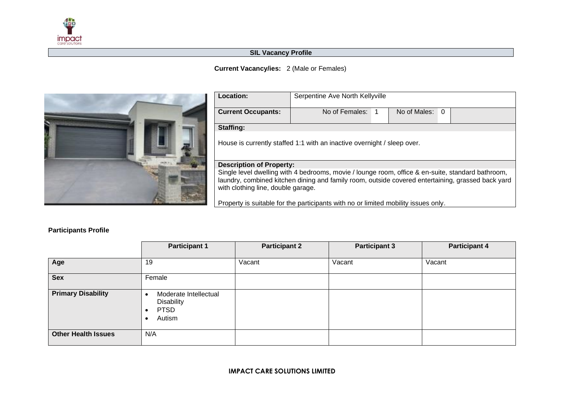

## **SIL Vacancy Profile**

## **Current Vacancy/ies:** 2 (Male or Females)



| <b>Location:</b>                                                                                                                                                                                                                             | Serpentine Ave North Kellyville |  |              |   |  |
|----------------------------------------------------------------------------------------------------------------------------------------------------------------------------------------------------------------------------------------------|---------------------------------|--|--------------|---|--|
| <b>Current Occupants:</b>                                                                                                                                                                                                                    | No of Females:                  |  | No of Males: | 0 |  |
| Staffing:                                                                                                                                                                                                                                    |                                 |  |              |   |  |
| House is currently staffed 1:1 with an inactive overnight / sleep over.                                                                                                                                                                      |                                 |  |              |   |  |
| <b>Description of Property:</b>                                                                                                                                                                                                              |                                 |  |              |   |  |
| Single level dwelling with 4 bedrooms, movie / lounge room, office & en-suite, standard bathroom,<br>laundry, combined kitchen dining and family room, outside covered entertaining, grassed back yard<br>with clothing line, double garage. |                                 |  |              |   |  |
| Property is suitable for the participants with no or limited mobility issues only.                                                                                                                                                           |                                 |  |              |   |  |

## **Participants Profile**

|                            | <b>Participant 1</b>                                                       | <b>Participant 2</b> | <b>Participant 3</b> | <b>Participant 4</b> |
|----------------------------|----------------------------------------------------------------------------|----------------------|----------------------|----------------------|
| Age                        | 19                                                                         | Vacant               | Vacant               | Vacant               |
| <b>Sex</b>                 | Female                                                                     |                      |                      |                      |
| <b>Primary Disability</b>  | Moderate Intellectual<br>- -<br><b>Disability</b><br><b>PTSD</b><br>Autism |                      |                      |                      |
| <b>Other Health Issues</b> | N/A                                                                        |                      |                      |                      |